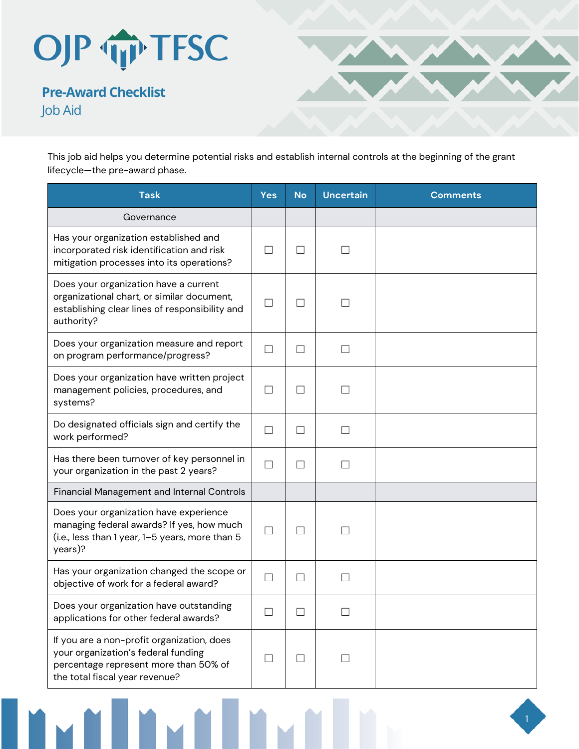

**Pre-Award Checklist**  Job Aid



This job aid helps you determine potential risks and establish internal controls at the beginning of the grant lifecycle—the pre-award phase.

| <b>Task</b>                                                                                                                                                  | <b>Yes</b> | <b>No</b>                | <b>Uncertain</b>  | <b>Comments</b> |
|--------------------------------------------------------------------------------------------------------------------------------------------------------------|------------|--------------------------|-------------------|-----------------|
| Governance                                                                                                                                                   |            |                          |                   |                 |
| Has your organization established and<br>incorporated risk identification and risk<br>mitigation processes into its operations?                              | П          | $\Box$                   | $\Box$            |                 |
| Does your organization have a current<br>organizational chart, or similar document,<br>establishing clear lines of responsibility and<br>authority?          | П          | П                        | $\mathbf{I}$      |                 |
| Does your organization measure and report<br>on program performance/progress?                                                                                | $\Box$     | $\overline{\phantom{a}}$ | $\mathcal{L}$     |                 |
| Does your organization have written project<br>management policies, procedures, and<br>systems?                                                              | $\Box$     | $\mathsf{L}$             | $\mathcal{L}$     |                 |
| Do designated officials sign and certify the<br>work performed?                                                                                              | $\Box$     | П                        | $\vert \ \ \vert$ |                 |
| Has there been turnover of key personnel in<br>your organization in the past 2 years?                                                                        | $\Box$     | $\Box$                   | $\mathbf{L}$      |                 |
| <b>Financial Management and Internal Controls</b>                                                                                                            |            |                          |                   |                 |
| Does your organization have experience<br>managing federal awards? If yes, how much<br>(i.e., less than 1 year, 1–5 years, more than 5<br>years)?            | $\Box$     | $\blacksquare$           |                   |                 |
| Has your organization changed the scope or<br>objective of work for a federal award?                                                                         | $\Box$     | $\Box$                   | $\Box$            |                 |
| Does your organization have outstanding<br>applications for other federal awards?                                                                            |            |                          |                   |                 |
| If you are a non-profit organization, does<br>your organization's federal funding<br>percentage represent more than 50% of<br>the total fiscal year revenue? | $\Box$     | $\Box$                   | ×.                |                 |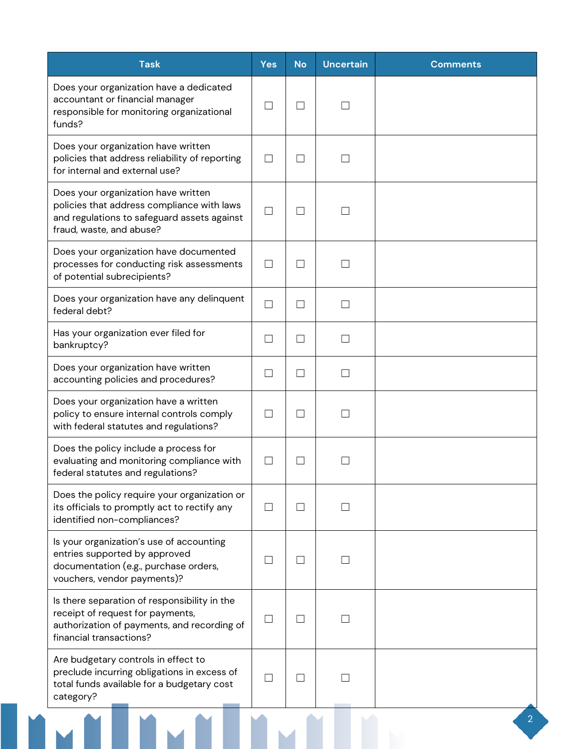| <b>Task</b>                                                                                                                                                  | <b>Yes</b>        | <b>No</b>                | <b>Uncertain</b> | <b>Comments</b> |
|--------------------------------------------------------------------------------------------------------------------------------------------------------------|-------------------|--------------------------|------------------|-----------------|
| Does your organization have a dedicated<br>accountant or financial manager<br>responsible for monitoring organizational<br>funds?                            | $\Box$            | $\Box$                   |                  |                 |
| Does your organization have written<br>policies that address reliability of reporting<br>for internal and external use?                                      | П                 | П                        |                  |                 |
| Does your organization have written<br>policies that address compliance with laws<br>and regulations to safeguard assets against<br>fraud, waste, and abuse? | $\Box$            | $\vert \ \ \vert$        |                  |                 |
| Does your organization have documented<br>processes for conducting risk assessments<br>of potential subrecipients?                                           | $\Box$            | $\overline{\phantom{a}}$ |                  |                 |
| Does your organization have any delinquent<br>federal debt?                                                                                                  | П                 | $\vert \ \ \vert$        | - 1              |                 |
| Has your organization ever filed for<br>bankruptcy?                                                                                                          | $\Box$            | $\Box$                   | - 1              |                 |
| Does your organization have written<br>accounting policies and procedures?                                                                                   | П                 | $\Box$                   | $\mathcal{L}$    |                 |
| Does your organization have a written<br>policy to ensure internal controls comply<br>with federal statutes and regulations?                                 | П                 | П                        |                  |                 |
| Does the policy include a process for<br>evaluating and monitoring compliance with<br>federal statutes and regulations?                                      |                   |                          |                  |                 |
| Does the policy require your organization or<br>its officials to promptly act to rectify any<br>identified non-compliances?                                  | П                 | $\vert \ \ \vert$        |                  |                 |
| Is your organization's use of accounting<br>entries supported by approved<br>documentation (e.g., purchase orders,<br>vouchers, vendor payments)?            | $\vert \ \ \vert$ | $\overline{\phantom{a}}$ |                  |                 |
| Is there separation of responsibility in the<br>receipt of request for payments,<br>authorization of payments, and recording of<br>financial transactions?   | $\Box$            | $\mathcal{L}$            |                  |                 |
| Are budgetary controls in effect to<br>preclude incurring obligations in excess of<br>total funds available for a budgetary cost<br>category?                | $\vert \ \ \vert$ | M.                       |                  |                 |
|                                                                                                                                                              |                   |                          |                  |                 |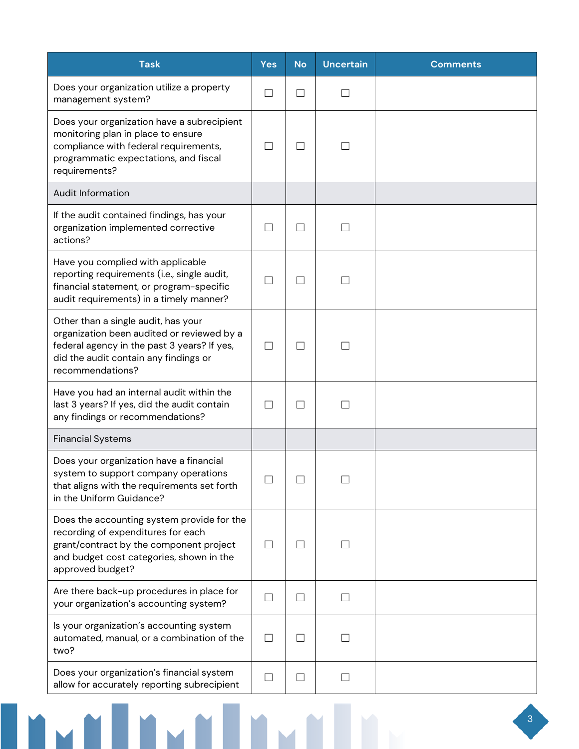| <b>Task</b>                                                                                                                                                                                   | <b>Yes</b>        | <b>No</b>         | <b>Uncertain</b>  | <b>Comments</b> |
|-----------------------------------------------------------------------------------------------------------------------------------------------------------------------------------------------|-------------------|-------------------|-------------------|-----------------|
| Does your organization utilize a property<br>management system?                                                                                                                               | П                 | $\vert \ \ \vert$ |                   |                 |
| Does your organization have a subrecipient<br>monitoring plan in place to ensure<br>compliance with federal requirements,<br>programmatic expectations, and fiscal<br>requirements?           | $\Box$            | $\vert \ \ \vert$ |                   |                 |
| <b>Audit Information</b>                                                                                                                                                                      |                   |                   |                   |                 |
| If the audit contained findings, has your<br>organization implemented corrective<br>actions?                                                                                                  |                   | $\vert \ \ \vert$ |                   |                 |
| Have you complied with applicable<br>reporting requirements (i.e., single audit,<br>financial statement, or program-specific<br>audit requirements) in a timely manner?                       | П                 | П                 |                   |                 |
| Other than a single audit, has your<br>organization been audited or reviewed by a<br>federal agency in the past 3 years? If yes,<br>did the audit contain any findings or<br>recommendations? | П                 | П                 |                   |                 |
| Have you had an internal audit within the<br>last 3 years? If yes, did the audit contain<br>any findings or recommendations?                                                                  | $\vert \ \ \vert$ | $\mathsf{L}$      |                   |                 |
| <b>Financial Systems</b>                                                                                                                                                                      |                   |                   |                   |                 |
| Does your organization have a financial<br>system to support company operations<br>that aligns with the requirements set forth<br>in the Uniform Guidance?                                    |                   |                   |                   |                 |
| Does the accounting system provide for the<br>recording of expenditures for each<br>grant/contract by the component project<br>and budget cost categories, shown in the<br>approved budget?   | $\Box$            | $\vert \ \ \vert$ |                   |                 |
| Are there back-up procedures in place for<br>your organization's accounting system?                                                                                                           | $\Box$            | $\Box$            | $\blacksquare$    |                 |
| Is your organization's accounting system<br>automated, manual, or a combination of the<br>two?                                                                                                | П                 | $\Box$            |                   |                 |
| Does your organization's financial system<br>allow for accurately reporting subrecipient                                                                                                      | $\Box$            | $\Box$            | $\vert \ \ \vert$ |                 |

**THE METHAN DESCRIPTION OF PERSONAL PROPERTY**